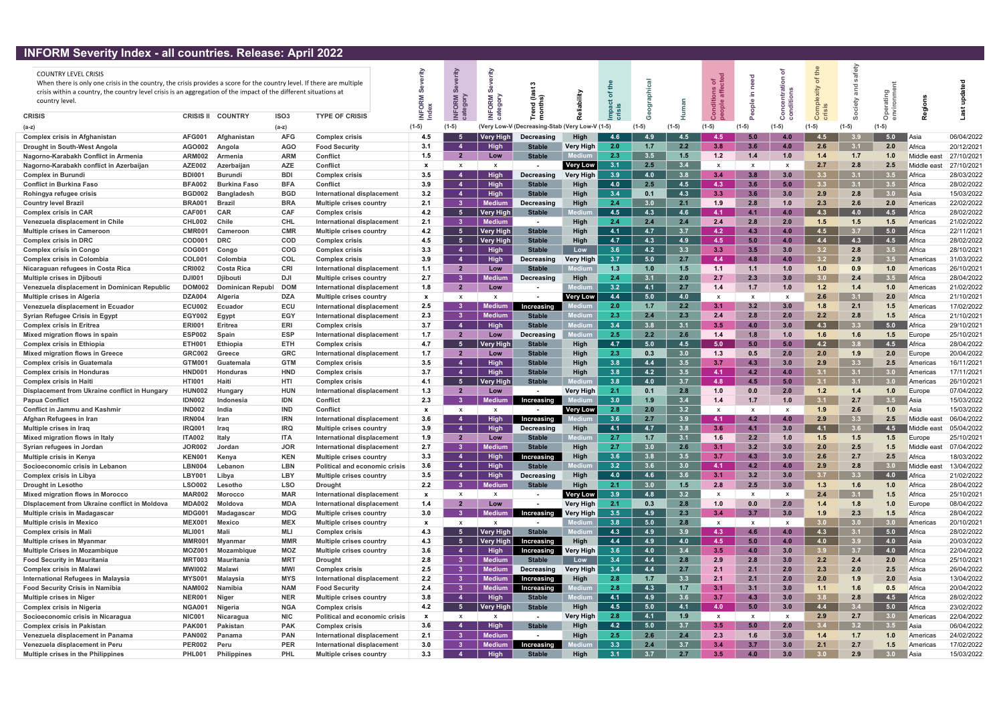## INFORM Severity Index - all countries. Release: April 2022

| <b>THE STATE SCRETCH THROW</b>                                                                                                                                                                                                             |                                | an countrios. Increase: April 2022 |                          |                                                              |              |                              |                         |                                          |                  |                  |            |            |              |              |              |                  |                  |                  |                   |                          |
|--------------------------------------------------------------------------------------------------------------------------------------------------------------------------------------------------------------------------------------------|--------------------------------|------------------------------------|--------------------------|--------------------------------------------------------------|--------------|------------------------------|-------------------------|------------------------------------------|------------------|------------------|------------|------------|--------------|--------------|--------------|------------------|------------------|------------------|-------------------|--------------------------|
|                                                                                                                                                                                                                                            |                                |                                    |                          |                                                              |              |                              |                         |                                          |                  |                  |            |            |              |              |              |                  | fety             |                  |                   |                          |
| <b>COUNTRY LEVEL CRISIS</b>                                                                                                                                                                                                                |                                |                                    |                          |                                                              |              |                              |                         |                                          |                  |                  |            |            | ಕ ಕೆ         |              |              |                  |                  |                  |                   |                          |
| When there is only one crisis in the country, the crisis provides a score for the country level. If there are multiple<br>crisis within a country, the country level crisis is an aggregation of the impact of the different situations at |                                |                                    |                          |                                                              |              |                              |                         |                                          |                  |                  |            |            |              |              |              |                  |                  |                  |                   |                          |
| country level.                                                                                                                                                                                                                             |                                |                                    |                          |                                                              |              |                              |                         |                                          |                  |                  |            |            |              | 르.           |              |                  |                  |                  |                   |                          |
|                                                                                                                                                                                                                                            |                                |                                    |                          |                                                              | $\circ$      | ក ន                          | ORM                     | 곧 후                                      |                  |                  |            |            |              | $\bullet$    |              |                  |                  |                  |                   |                          |
| <b>CRISIS</b>                                                                                                                                                                                                                              | <b>CRISIS II</b>               | <b>COUNTRY</b>                     | ISO <sub>3</sub>         | <b>TYPE OF CRISIS</b>                                        |              |                              |                         |                                          |                  |                  |            |            |              |              |              |                  |                  | $\circ$          |                   |                          |
| (a-z)                                                                                                                                                                                                                                      |                                |                                    | $(a-z)$                  |                                                              | $(1-5)$      | $(1-5)$                      |                         | Very Low-V (Decreasing-Stab (Very Low-V) |                  | $(1-5)$          |            |            |              |              | $(1-5)$      | $(1-5)$          |                  |                  |                   |                          |
| <b>Complex crisis in Afghanistan</b>                                                                                                                                                                                                       | <b>AFG001</b>                  | Afghanistan                        | <b>AFG</b>               | <b>Complex crisis</b>                                        | 4.5          |                              | Very High               | Decreasing                               | <b>High</b>      | 4.6              | 4.9        | 4.5        | 4.5          |              | 4.0          | 4.5              |                  | 5.0              | Asia              | 06/04/2022               |
| Drought in South-West Angola                                                                                                                                                                                                               | AGO002                         | Angola                             | <b>AGO</b>               | <b>Food Security</b>                                         | 3.1          |                              | <b>High</b>             | <b>Stable</b>                            | Very High        | 2.0              | 1.7        | 2.2        | 3.8          | 3.6          | 4.0          | 2.6              | 3.1              | 2.0              | Africa            | 20/12/2021               |
| Nagorno-Karabakh Conflict in Armenia                                                                                                                                                                                                       | <b>ARM002</b>                  | Armenia                            | <b>ARM</b>               | Conflict                                                     | 1.5          | $\overline{2}$               | Low                     | <b>Stable</b>                            |                  | 2.3              | 3.5        | 1.5        | 1.2          | 1.4          | 1.0          | 1.4              | 1.7              | 1.0              | Middle east       | 27/10/2021               |
| Nagorno-Karabakh conflict in Azerbaijan                                                                                                                                                                                                    | <b>AZE002</b>                  | Azerbaijan                         | AZE                      | Conflict                                                     | $\mathbf{x}$ | $\mathbf{x}$                 | $\mathbf{x}$            |                                          | <b>Very Low</b>  | 3.1              | 2.5        | 3.4        | $\mathsf{x}$ | $\mathbf{x}$ | $\mathbf{x}$ | 2.7              | 2.8              | 2.5              | Middle eas        | 27/10/2021               |
| <b>Complex in Burundi</b>                                                                                                                                                                                                                  | <b>BDI001</b>                  | Burundi                            | <b>BDI</b>               | <b>Complex crisis</b>                                        | 3.5          |                              | <b>High</b>             | Decreasing                               | <b>Very High</b> | 3.9              | 4.0        | 3.8        | 3.4          | 3.8          | 3.0          | 3.3 <sub>1</sub> | 3.1              | 3.5              | Africa            | 28/03/2022               |
| <b>Conflict in Burkina Faso</b>                                                                                                                                                                                                            | <b>BFA002</b>                  | <b>Burkina Faso</b>                | <b>BFA</b>               | Conflict                                                     | 3.9          | $\boldsymbol{4}$             | <b>High</b>             | <b>Stable</b>                            | High             | 4.0              | 2.5        | 4.5        | 4.3          | 3.6          | 5.0          | 3.3 <sub>1</sub> | 3.1              | 3.5              | Africa            | 28/02/2022               |
| Rohingya refugee crisis                                                                                                                                                                                                                    | <b>BGD002</b>                  | <b>Bangladesh</b>                  | <b>BGD</b>               | <b>International displacement</b>                            | 3.2          |                              | <b>High</b>             | <b>Stable</b>                            | High             | 3.4              | 0.1        | 4.3        | 3.3          | 3.6          | 3.0          | 2.9              | 2.8              | 3.0 <sub>1</sub> | Asia              | 15/03/2022               |
| <b>Country level Brazil</b>                                                                                                                                                                                                                | <b>BRA001</b>                  | Brazi                              | <b>BRA</b>               | Multiple crises country                                      | 2.1          | -3                           | Medium                  | Decreasing                               | High             | 2.4              | 3.0        | 2.1        | 1.9          | 2.8          | 1.0          | 2.3              | 2.6              | 2.0              | Americas          | 22/02/2022               |
| <b>Complex crisis in CAR</b>                                                                                                                                                                                                               | <b>CAF001</b>                  | <b>CAR</b>                         | <b>CAF</b>               | <b>Complex crisis</b>                                        | 4.2          | -5                           | <b>Very Higl</b>        | <b>Stable</b>                            |                  | 4.5              | 4.3        | 4.6        | 4.1          | 4.1          | 4.0          | 4.3              | 4.0              | 4.5              | Africa            | 28/02/2022               |
| Venezuela displacement in Chile                                                                                                                                                                                                            | CHL002                         | Chile                              | <b>CHL</b>               | International displacement                                   | 2.1          | $\overline{\mathbf{3}}$      | <b>Medium</b>           | $\blacksquare$                           | <b>High</b>      | 2.4              | 2.4        | 2.4        | 2.4          | 2.8          | 2.0          | 1.5              | 1.5              | 1.5              | Americas          | 21/02/2022               |
| <b>Multiple crises in Cameroon</b>                                                                                                                                                                                                         | <b>CMR001</b>                  | Cameroon                           | <b>CMR</b>               | <b>Multiple crises country</b>                               | 4.2          | -5                           | <b>Very High</b>        | <b>Stable</b>                            | High             | 4.1              | 4.7        | 3.7        | 4.2          | 4.3          | 4.0          | 4.5              | 3.7              | 5.0              | Africa            | 22/11/2021               |
| <b>Complex crisis in DRC</b>                                                                                                                                                                                                               | COD00                          | <b>DRC</b>                         | <b>COD</b>               | <b>Complex crisis</b>                                        | 4.5          | -5                           | <b>Very High</b>        | <b>Stable</b>                            | High             | 4.7              | 4.3        | 4.9        | 4.5          | 5.0          | 4.0          | 4.4              | 4.3              | 4.5              | Africa            | 28/02/2022               |
| <b>Complex crisis in Congo</b>                                                                                                                                                                                                             | <b>COG001</b>                  | Congo                              | <b>COG</b>               | <b>Complex crisis</b>                                        | 3.3          | $\boldsymbol{\Lambda}$       | High                    | <b>Stable</b>                            | Low              | 3.6              | 4.2        | 3.3        | 3.3          | 3.5          | 3.0          | 3.2 <sub>1</sub> | 2.8              | 3.5              | Africa            | 28/10/2021               |
| <b>Complex crisis in Colombia</b>                                                                                                                                                                                                          | <b>COL001</b>                  | Colombia                           | <b>COL</b>               | <b>Complex crisis</b>                                        | 3.9          |                              | <b>High</b>             | Decreasing                               | <b>Very High</b> | 3.7              | 5.0        | 2.7        | 4.4          | 4.8          | 4.0          | 3.2 <sub>2</sub> | 2.9              | 3.5              | l Americas        | 31/03/2022               |
| Nicaraguan refugees in Costa Rica                                                                                                                                                                                                          | <b>CRI002</b>                  | <b>Costa Rica</b>                  | <b>CRI</b>               | International displacement                                   | 1.1          | $\overline{2}$               | Low                     | <b>Stable</b>                            |                  | 1.3              | 1.0        | 1.5        | 1.1          | 1.1          | 1.0          | 1.0 <sub>1</sub> | 0.9              | 1.0              | Americas          | 26/10/2021               |
| <b>Multiple crises in Djibouti</b>                                                                                                                                                                                                         | DJI00                          | <b>Diibout</b>                     | <b>DJI</b>               | Multiple crises country                                      | 2.7          | -3                           | ledium                  | Decreasing                               | High             | 2.4              | 3.1        | 2.0        | 2.7          | 2.3          | 3.0          | 3.0 <sub>2</sub> | 2.4              | 3.5              | Africa            | 28/04/2022               |
| Venezuela displacement in Dominican Republic                                                                                                                                                                                               | <b>DOM002</b>                  | <b>Dominican Republ</b>            | <b>DOM</b>               | International displacement                                   | 1.8          | $\overline{2}$               | Low                     | $\blacksquare$                           |                  | 3.2              | 4.1        | 2.7        | 1.4          | 1.7          | 1.0          | 1.2              | 1.4              | 1.0              | Americas          | 21/02/2022               |
| Multiple crises in Algeria                                                                                                                                                                                                                 | <b>DZA004</b>                  | Algeria                            | <b>DZA</b>               | <b>Multiple crises country</b>                               | $\mathbf{x}$ | x                            | $\mathbf{x}$            |                                          | Very Low         | 4.4              | 5.0        | 4.0        | X            |              |              | 2.6              | 3.1              | 2.0              | Africa            | 21/10/2021               |
| Venezuela displacement in Ecuador                                                                                                                                                                                                          | <b>ECU002</b>                  | Ecuador                            | ECU                      | International displacement                                   | 2.5          | -3                           | Medium                  | Increasing                               |                  | 2.0              | 1.7        | 2.2        | 3.1          | 3.2          | 3.0          | 1.8              | 2.1              | $1.5$            | Americas          | 17/02/2022               |
| <b>Syrian Refugee Crisis in Egypt</b>                                                                                                                                                                                                      | <b>EGY002</b>                  | Egypt                              | <b>EGY</b>               | International displacement                                   | 2.3          | -3                           | Medium                  | <b>Stable</b>                            | ledium           | 2.3              | 2.4        | 2.3        | 2.4          | 2.8          | 2.0          | 2.2              | 2.8              | 1.5              | Africa            | 21/10/2021               |
| <b>Complex crisis in Eritrea</b>                                                                                                                                                                                                           | <b>ERI001</b>                  | Eritrea                            | ERI                      | Complex crisis                                               | 3.7          | $\boldsymbol{\Lambda}$       | <b>High</b>             | <b>Stable</b>                            |                  | 3.4              | 3.8        | 3.1        | 3.5          | 4.0          | 3.0          | 4.3              | 3.3              | 5.0              | Africa            | 29/10/2021               |
| Mixed migration flows in spain                                                                                                                                                                                                             | <b>ESP002</b>                  | Spain                              | <b>ESP</b>               | International displacement                                   | 1.7          | 2                            | Low                     | Decreasing                               | ediun            | 2.5              | 2.2        | 2.6        | 1.4          | 1.8          | 1.0          | 1.6              | 1.6              | 1.5              | Europe            | 25/10/2021               |
| <b>Complex crisis in Ethiopia</b>                                                                                                                                                                                                          | <b>ETH001</b>                  | Ethiopia                           | <b>ETH</b>               | <b>Complex crisis</b>                                        | 4.7          | -5                           | Very Hig                | <b>Stable</b>                            | High             | 4.7              | 5.0        | 4.5        | 5.0          | 5.0          | 5.0          | 4.2              | 3.8              | 4.5              | Africa            | 28/04/2022               |
| <b>Mixed migration flows in Greece</b>                                                                                                                                                                                                     | <b>GRC002</b>                  | Greece                             | <b>GRC</b>               | <b>International displacement</b>                            | 1.7          | $\overline{2}$               | Low                     | <b>Stable</b>                            | High             | 2.3              | 0.3        | 3.0        | 1.3          | 0.5          | 2.0          | 2.0              | 1.9              | 2.0              | Europe            | 20/04/2022               |
| <b>Complex crisis in Guatemala</b>                                                                                                                                                                                                         | GTM001                         | Guatemala                          | <b>GTM</b>               | <b>Complex crisis</b>                                        | 3.5          | $\boldsymbol{A}$             | <b>High</b>             | <b>Stable</b>                            | <b>High</b>      | 3.8              | 4.4        | 3.5        | 3.7          | 4.3          | 3.0          | 2.9              | 3.3              | 2.5              | Americas          | 16/11/2021               |
| <b>Complex crisis in Honduras</b>                                                                                                                                                                                                          | HND00                          | <b>Honduras</b>                    | <b>HND</b>               | <b>Complex crisis</b>                                        | 3.7          | 4                            | High                    | <b>Stable</b>                            | High             | 3.8              | 4.2        | 3.5        | 4.1          | 4.2          | 4.0          | 3.1              | 3.1              | 3.0              | Americas          | 17/11/2021               |
| <b>Complex crisis in Haiti</b>                                                                                                                                                                                                             | <b>HTI00</b>                   |                                    | HTI                      | <b>Complex crisis</b>                                        | 4.1          | -5                           | <b>Very Higl</b>        | <b>Stable</b>                            | ediui            | 3.8              | 4.0        | 3.7        | 4.8          | 4.5          | 5.0          | 31               | 3.1              | 3.0              | Americas          | 26/10/2021               |
| Displacement from Ukraine conflict in Hungary                                                                                                                                                                                              | <b>HUN002</b>                  | Hungary                            | <b>HUN</b>               | International displacement                                   | 1.3          | $\overline{\mathbf{2}}$      | Low                     |                                          | <b>Very High</b> | 2.1              | 0.1        | 2.8        | 1.0          | 0.0          | 2.0          | $1.2$            | 1.4              | 1.0              | Europe            | 07/04/2022               |
| <b>Papua Conflict</b>                                                                                                                                                                                                                      | <b>IDN002</b>                  | Indonesia                          | <b>IDN</b>               | Conflict                                                     | 2.3          | -3                           | Medium                  | Increasing                               |                  | 3.0              | 1.9        | 3.4        | 1.4          | 1.7          | 1.0          | 3.1              | 2.7              | 3.5              | Asia              | 15/03/2022               |
| <b>Conflict in Jammu and Kashmir</b>                                                                                                                                                                                                       | <b>IND002</b>                  |                                    | IND                      | Conflict                                                     | $\mathbf{x}$ | X                            |                         |                                          | <b>Very Low</b>  | 2.8              | 2.0        | 3.2        | X            |              | X            | 1.9              | 2.6              | 1.0              | Asia              | 15/03/2022               |
| Afghan Refugees in Iran                                                                                                                                                                                                                    | IRN00                          | <b>Iran</b>                        | <b>IRN</b>               | <b>International displacement</b>                            | 3.6          |                              | High                    | Increasing                               |                  | 3.6              | 2.7        | 3.9        | 4.1          | 4.2          | 4.0          | 2.9              | 3.3 <sub>1</sub> | 2.5              | Middle east       | 06/04/2022               |
| Multiple crises in Iraq                                                                                                                                                                                                                    | IRQ001                         | Iraq                               | <b>IRQ</b>               | <b>Multiple crises country</b>                               | 3.9          | $\boldsymbol{\Lambda}$       | <b>High</b>             | Decreasing                               | Hiah             | 4.1              | 4.7        | 3.8        | 3.6          | 4.1          | 3.0          | 4.1              | 3.6              | 4.5              | Middle east       | 05/04/2022               |
| Mixed migration flows in Italy                                                                                                                                                                                                             | <b>ITA002</b>                  | Italy                              | <b>ITA</b>               | International displacement                                   | 1.9          | -2                           | Low                     | <b>Stable</b>                            | lediur           | 2.7              | 1.7        | 3.1        | 1.6          | 2.2          | 1.0          | 1.5              | 1.5              | $1.5$            | Europe            | 25/10/2021               |
| Syrian refugees in Jordan                                                                                                                                                                                                                  | <b>JOR002</b>                  | Jordan                             | <b>JOR</b>               | <b>International displacement</b>                            | 2.7          | -3                           | Medium                  | <b>Stable</b>                            | High             | 2.7              | 3.0        | 2.6        | 3.1          | 3.2          | 3.0          | 2.0              | 2.5              | 1.5              | Middle east       | 07/04/2022               |
| <b>Multiple crisis in Kenya</b>                                                                                                                                                                                                            | <b>KEN001</b>                  | Kenya                              | <b>KEN</b>               | <b>Multiple crises country</b>                               | 3.3          |                              | High                    | Increasing                               | High             | 3.6              | 3.8        | 3.5        | 3.7          | 4.3          | 3.0          | 2.6              | 2.7              | 2.5              | Africa            | 18/03/2022               |
| Socioeconomic crisis in Lebanon                                                                                                                                                                                                            | <b>LBN004</b>                  | Lebanon                            | <b>LBN</b>               | <b>Political and economic crisis</b>                         | 3.6          |                              | <b>High</b>             | <b>Stable</b>                            |                  | 3.2              | 3.6        | 3.0        | 4.1          | 4.2          | 4.0          | 2.9              | 2.8              | 3.0              | Middle east       | 13/04/2022               |
| <b>Complex crisis in Libya</b>                                                                                                                                                                                                             | <b>LBY001</b>                  | Libya                              | LBY                      | <b>Multiple crises country</b>                               | 3.5          |                              | <b>High</b>             | Decreasing                               | <b>High</b>      | 4.0              | 4.6        | 3.6        | 3.1          | 3.2          | 3.0          | 3.7              | 3.3              | 4.0              | Africa            | 21/02/2022               |
| <b>Drought in Lesotho</b>                                                                                                                                                                                                                  | <b>LSO002</b>                  | Lesotho                            | <b>LSO</b>               | <b>Drought</b>                                               | 2.2          | -3                           | <b>Medium</b>           | <b>Stable</b>                            | High             | 2.1              | 3.0        | 1.5        | 2.8          | 2.5          | 3.0          | 1.3              | 1.6              | 1.0              | Africa            | 28/04/2022               |
| <b>Mixed migration flows in Morocco</b>                                                                                                                                                                                                    | <b>MAR002</b>                  | Morocco                            | <b>MAR</b>               | International displacement                                   | $\mathbf{x}$ | x                            | $\mathsf{X}$            |                                          | <b>Very Low</b>  | 3.9 <sub>°</sub> | 4.8        | 3.2        | X            |              | X            | 2.4              | 3.1              | 1.5              | Africa            | 25/10/2021               |
| <b>Displacement from Ukraine conflict in Moldova</b>                                                                                                                                                                                       | <b>MDA002</b>                  | <b>Moldova</b>                     | <b>MDA</b>               | International displacement                                   | 1.4          | 2                            | Low                     | $\blacksquare$                           | <b>Very High</b> | 2.1              | 0.3        | 2.8        | 1.0          | 0.0          | 2.0          | 1.4              | 1.8              | 1.0              | Europe            | 08/04/2022               |
| <b>Multiple crisis in Madagascar</b>                                                                                                                                                                                                       | <b>MDG001</b>                  | Madagascar                         | <b>MDG</b>               | <b>Multiple crises country</b>                               | 3.0          | -3                           | Medium                  | Increasing                               | Very High        | 3.5              | 4.9        | 2.3        | 3.4          | 3.7          | 3.0          | 1.9              | 2.3              | 1.5              | Africa            | 28/04/2022               |
| <b>Multiple crisis in Mexico</b>                                                                                                                                                                                                           | <b>MEX001</b>                  | <b>Mexico</b>                      | <b>MEX</b>               | <b>Multiple crises country</b>                               | $\mathbf{x}$ | X                            | $\mathsf{X}$            | $\blacksquare$                           |                  | 3.8              | 5.0        | 2.8        | X            | $\mathbf{x}$ | X            | 3.0              | 3.0              | 3.0              | Americas          | 20/10/2021               |
| <b>Complex crisis in Mali</b>                                                                                                                                                                                                              | <b>MLI001</b>                  | Mali                               | MLI                      | <b>Complex crisis</b>                                        | 4.3          | -5                           | Very High               | <b>Stable</b>                            |                  | 4.3              | 4.9        | 3.9        | 4.3          | 4.6          | 4.0          | 4.3              | 3.1              | 5.0              | Africa            | 28/02/2022               |
| <b>Multiple crises in Myanmar</b>                                                                                                                                                                                                          | MMR001                         | Myanmar                            | <b>MMR</b>               | <b>Multiple crises country</b>                               | 4.3          | -5                           | Very High               | Increasing                               | High             | 4.4              | 4.9        | 4.0        | 4.5          | 5.0          | 4.0          | 4.0              | 3.9              | 4.0              | Asia              | 20/03/2022               |
| <b>Multiple Crises in Mozambique</b>                                                                                                                                                                                                       | <b>MOZ001</b>                  | Mozambique                         | <b>MOZ</b>               | <b>Multiple crises country</b>                               | 3.6          | $\boldsymbol{\Lambda}$       | <b>High</b>             | Increasing                               | Very High        | 3.6              | 4.0        | 3.4        | 3.5          | 4.0          | 3.0          | 3.9              | 3.7              | 4.0              | Africa            | 22/04/2022               |
| <b>Food Security in Mauritania</b>                                                                                                                                                                                                         | <b>MRT003</b>                  | Mauritania                         | <b>MRT</b>               | <b>Drought</b>                                               | 2.8          | $\overline{3}$               | <b>Medium</b>           | <b>Stable</b>                            | Low              | 3.4              | 4.4        | 2.8        | 2.9          | 2.8          | 3.0          | 2.2              | 2.4              | 2.0              | Africa            | 25/10/2021               |
| <b>Complex crisis in Malawi</b>                                                                                                                                                                                                            | <b>MWI002</b>                  | Malawi                             | <b>MWI</b>               | <b>Complex crisis</b>                                        | 2.5          | -3                           | <b>Medium</b>           | Decreasing                               | Very High        | 3.4              | 4.4        | 2.7        | 2.1          | 2.1          | 2.0          | 2.3              | 2.0              | 2.5              | Africa            | 26/04/2022               |
| International Refugees in Malaysia                                                                                                                                                                                                         | <b>MYS001</b>                  | Malaysia                           | <b>MYS</b>               | International displacement                                   | 2.2          | -3                           | <b>Medium</b>           | Increasing                               | High             | 2.8              | 1.7        | 3.3        | 2.1          | 2.1          | 2.0          | 2.0              | 1.9              | 2.0              | Asia              | 13/04/2022               |
| <b>Food Security Crisis in Namibia</b>                                                                                                                                                                                                     | <b>NAM002</b>                  | Namibia                            | <b>NAM</b>               | <b>Food Security</b>                                         | 2.4          | -3                           | <b>Medium</b>           | Increasing                               |                  | 2.8              | 4.3        | 1.7        | 3.1          | 3.1          | 3.0          | 1.1              | 1.6              | 0.5              | Africa            | 20/04/2022               |
| <b>Multiple crises in Niger</b>                                                                                                                                                                                                            | <b>NER001</b>                  | Niger                              | <b>NER</b>               | Multiple crises country                                      | 3.8          |                              | <b>High</b>             | <b>Stable</b>                            |                  | 4.1              | 4.9        | 3.6        | 3.7          | 4.3          | 3.0          | 3.8              | 2.8              | 4.5              | Africa            | 28/02/2022               |
| <b>Complex crisis in Nigeria</b>                                                                                                                                                                                                           | <b>NGA001</b>                  | Nigeria                            | <b>NGA</b>               | <b>Complex crisis</b>                                        | 4.2          | -5                           | <b>Very High</b>        | <b>Stable</b>                            | High             | 4.5              | 5.0        | 4.1        | 4.0          | 5.0          | 3.0          | 4.4              | 3.4              | 5.0              | Africa            | 23/02/2022               |
| Socioeconomic crisis in Nicaragua                                                                                                                                                                                                          | <b>NIC001</b>                  | <b>Nicaragua</b>                   | <b>NIC</b>               | <b>Political and economic crisis</b>                         | $\mathbf{x}$ | X                            | $\mathsf{X}$            | $\sim$                                   | Very High        | 2.8              | 4.1        | 1.9        | X.           | 5.0          | X            | 2.9              | 2.7              | 3.0 <sub>1</sub> | Americas          | 22/04/2022               |
| <b>Complex crisis in Pakistan</b>                                                                                                                                                                                                          | <b>PAK001</b>                  | Pakistan                           | <b>PAK</b>               | <b>Complex crisis</b>                                        | 3.6          | $\boldsymbol{\Lambda}$<br>-3 | <b>High</b>             | <b>Stable</b>                            | <b>High</b>      | 4.2              | 5.0        | 3.7        | 3.5          |              | 2.0          | 3.4              | 3.2              | 3.5              | Asia              | 06/04/2022               |
| Venezuela displacement in Panama                                                                                                                                                                                                           | <b>PAN002</b><br><b>PER002</b> | Panama                             | <b>PAN</b><br><b>PER</b> | International displacement                                   | 2.1<br>3.0   | -3                           | <b>Medium</b><br>Medium | $\blacksquare$<br>Increasing             | High             | 2.5<br>3.3       | 2.6<br>2.4 | 2.4<br>3.7 | 2.3<br>3.4   | 1.6          | 3.0<br>3.0   | 1.4              | 1.7<br>2.7       | 1.0<br>1.5       | Americas          | 24/02/2022<br>17/02/2022 |
| Venezuela displacement in Peru<br>Multiple crises in the Philippines                                                                                                                                                                       | <b>PHL001</b>                  | Peru<br><b>Philippines</b>         | <b>PHL</b>               | International displacement<br><b>Multiple crises country</b> | 3.3          |                              | <b>High</b>             | <b>Stable</b>                            | <b>High</b>      | 3.1              | 3.7        | 2.7        | 3.5          | 3.7<br>4.0   | 3.0          | 2.1              | 2.9              | 3.0 <sub>1</sub> | Americas<br> Asia | 15/03/2022               |
|                                                                                                                                                                                                                                            |                                |                                    |                          |                                                              |              |                              |                         |                                          |                  |                  |            |            |              |              |              |                  |                  |                  |                   |                          |